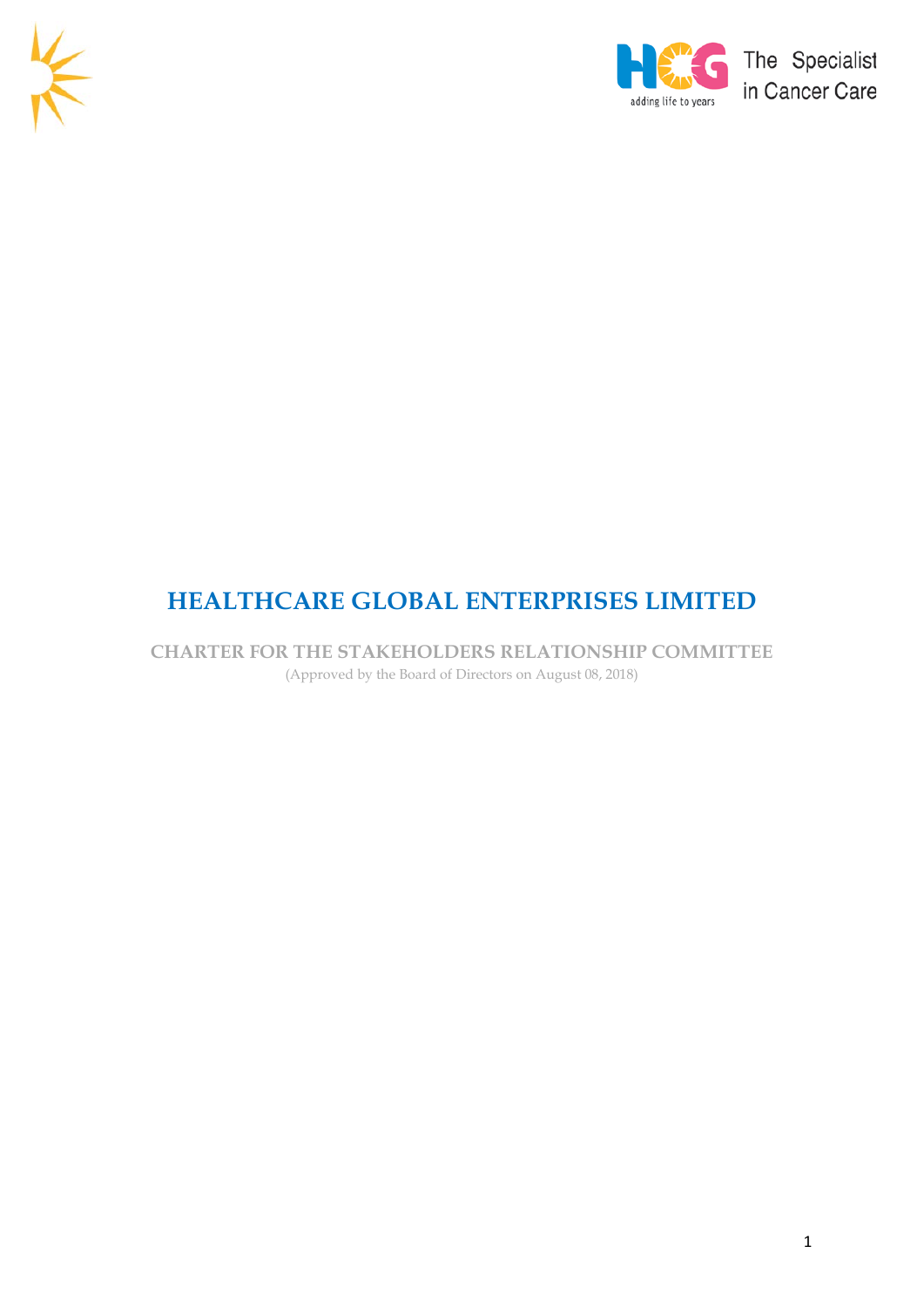



# **HEALTHCARE GLOBAL ENTERPRISES LIMITED**

**CHARTER FOR THE STAKEHOLDERS RELATIONSHIP COMMITTEE**  (Approved by the Board of Directors on August 08, 2018)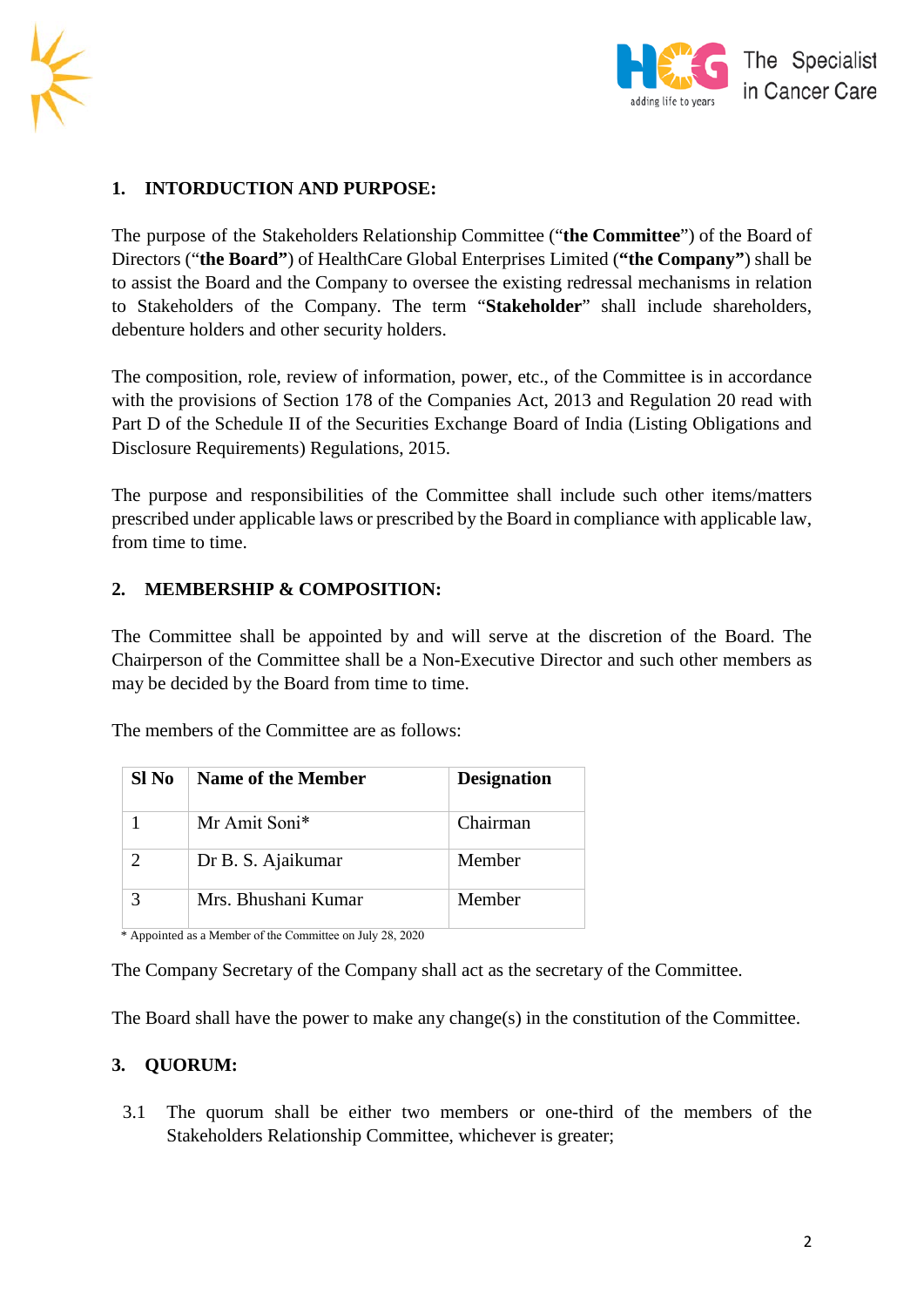



## **1. INTORDUCTION AND PURPOSE:**

The purpose of the Stakeholders Relationship Committee ("**the Committee**") of the Board of Directors ("**the Board"**) of HealthCare Global Enterprises Limited (**"the Company"**) shall be to assist the Board and the Company to oversee the existing redressal mechanisms in relation to Stakeholders of the Company. The term "**Stakeholder**" shall include shareholders, debenture holders and other security holders.

The composition, role, review of information, power, etc., of the Committee is in accordance with the provisions of Section 178 of the Companies Act, 2013 and Regulation 20 read with Part D of the Schedule II of the Securities Exchange Board of India (Listing Obligations and Disclosure Requirements) Regulations, 2015.

The purpose and responsibilities of the Committee shall include such other items/matters prescribed under applicable laws or prescribed by the Board in compliance with applicable law, from time to time.

#### **2. MEMBERSHIP & COMPOSITION:**

The Committee shall be appointed by and will serve at the discretion of the Board. The Chairperson of the Committee shall be a Non-Executive Director and such other members as may be decided by the Board from time to time.

The members of the Committee are as follows:

| Sl No | <b>Name of the Member</b> | <b>Designation</b> |
|-------|---------------------------|--------------------|
|       | Mr Amit Soni*             | Chairman           |
|       | Dr B. S. Ajaikumar        | Member             |
|       | Mrs. Bhushani Kumar       | Member             |

\* Appointed as a Member of the Committee on July 28, 2020

The Company Secretary of the Company shall act as the secretary of the Committee.

The Board shall have the power to make any change(s) in the constitution of the Committee.

#### **3. QUORUM:**

3.1 The quorum shall be either two members or one-third of the members of the Stakeholders Relationship Committee, whichever is greater;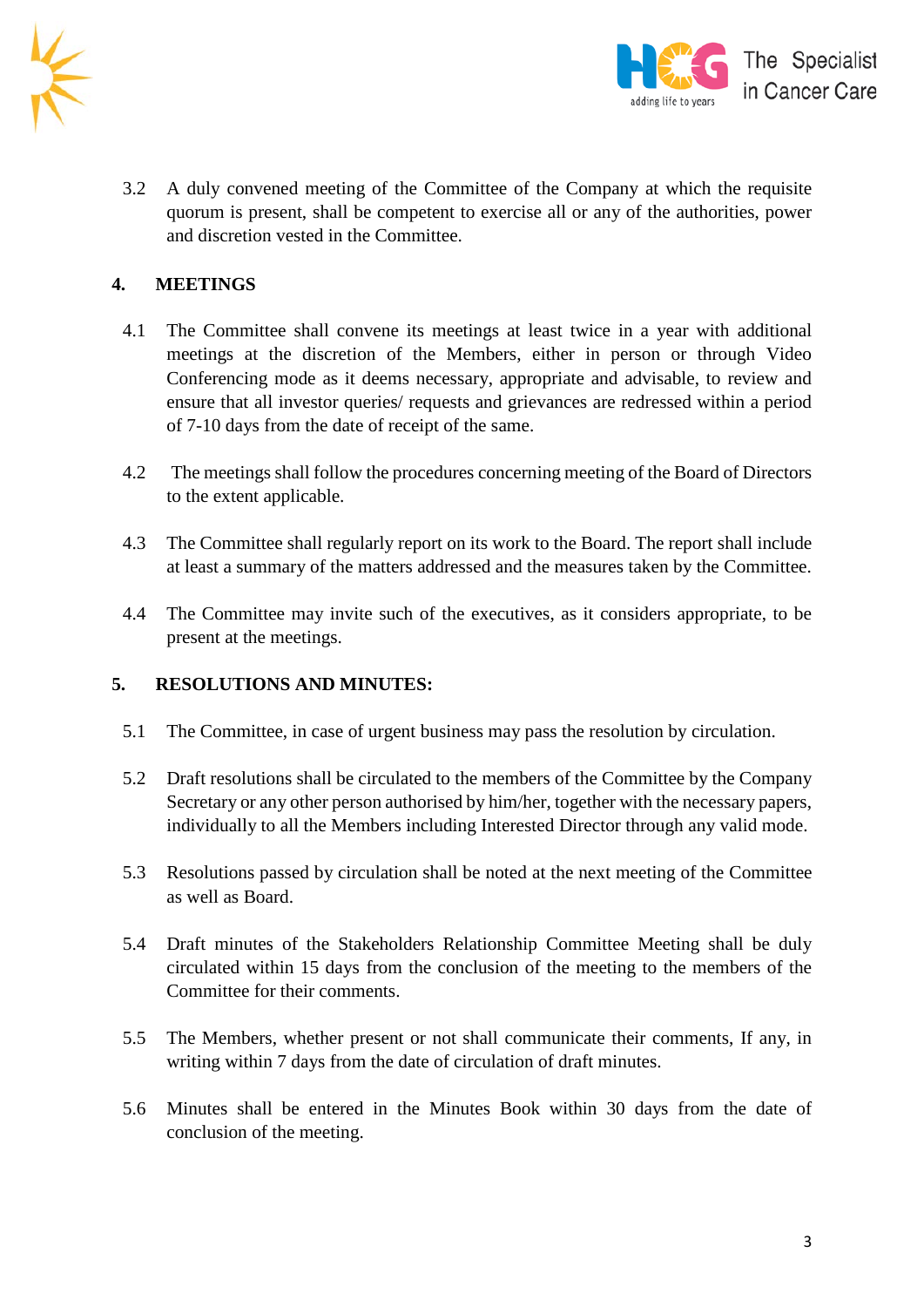



3.2 A duly convened meeting of the Committee of the Company at which the requisite quorum is present, shall be competent to exercise all or any of the authorities, power and discretion vested in the Committee.

## **4. MEETINGS**

- 4.1 The Committee shall convene its meetings at least twice in a year with additional meetings at the discretion of the Members, either in person or through Video Conferencing mode as it deems necessary, appropriate and advisable, to review and ensure that all investor queries/ requests and grievances are redressed within a period of 7-10 days from the date of receipt of the same.
- 4.2 The meetings shall follow the procedures concerning meeting of the Board of Directors to the extent applicable.
- 4.3 The Committee shall regularly report on its work to the Board. The report shall include at least a summary of the matters addressed and the measures taken by the Committee.
- 4.4 The Committee may invite such of the executives, as it considers appropriate, to be present at the meetings.

#### **5. RESOLUTIONS AND MINUTES:**

- 5.1 The Committee, in case of urgent business may pass the resolution by circulation.
- 5.2 Draft resolutions shall be circulated to the members of the Committee by the Company Secretary or any other person authorised by him/her, together with the necessary papers, individually to all the Members including Interested Director through any valid mode.
- 5.3 Resolutions passed by circulation shall be noted at the next meeting of the Committee as well as Board.
- 5.4 Draft minutes of the Stakeholders Relationship Committee Meeting shall be duly circulated within 15 days from the conclusion of the meeting to the members of the Committee for their comments.
- 5.5 The Members, whether present or not shall communicate their comments, If any, in writing within 7 days from the date of circulation of draft minutes.
- 5.6 Minutes shall be entered in the Minutes Book within 30 days from the date of conclusion of the meeting.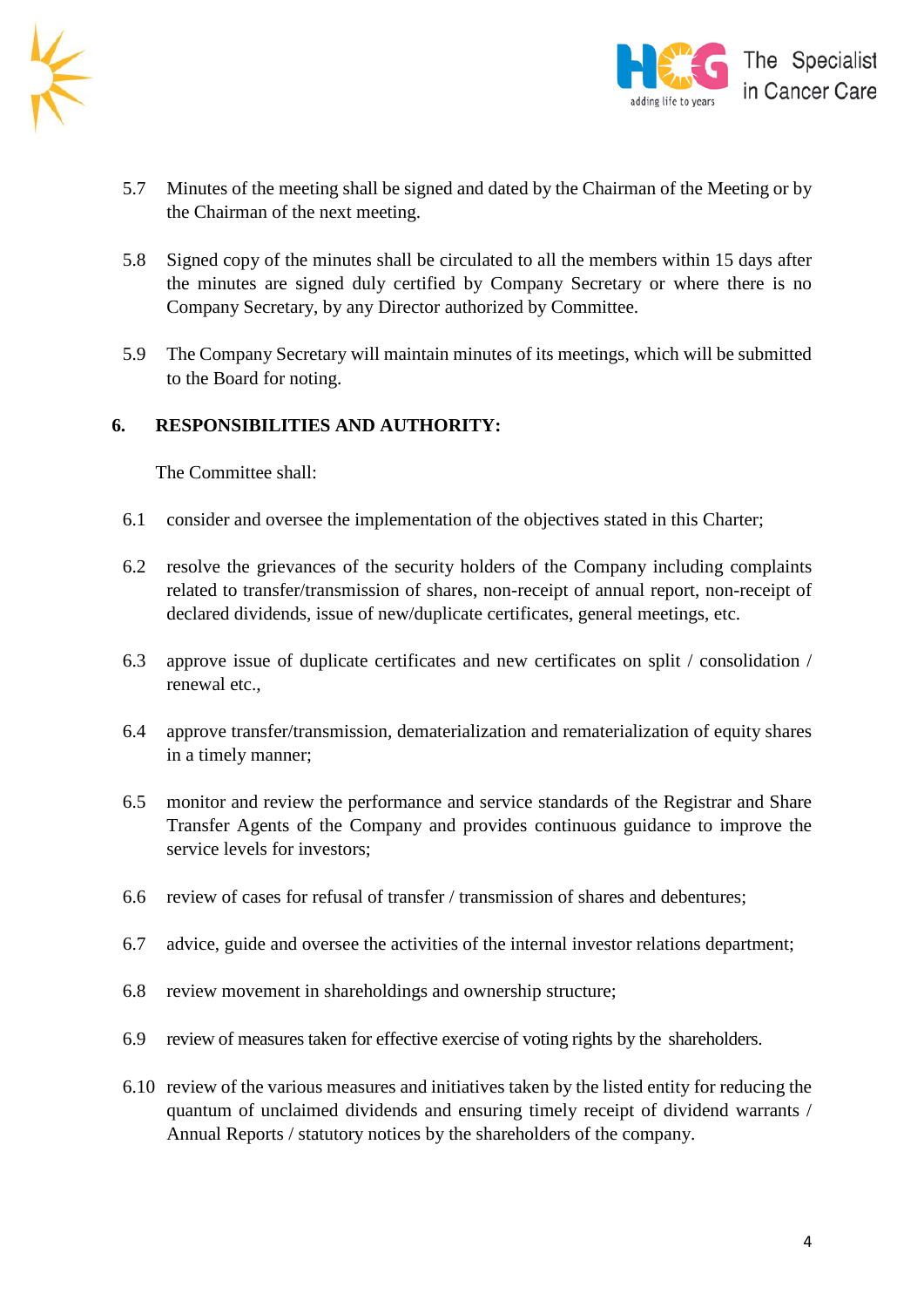



- 5.7 Minutes of the meeting shall be signed and dated by the Chairman of the Meeting or by the Chairman of the next meeting.
- 5.8 Signed copy of the minutes shall be circulated to all the members within 15 days after the minutes are signed duly certified by Company Secretary or where there is no Company Secretary, by any Director authorized by Committee.
- 5.9 The Company Secretary will maintain minutes of its meetings, which will be submitted to the Board for noting.

#### **6. RESPONSIBILITIES AND AUTHORITY:**

The Committee shall:

- 6.1 consider and oversee the implementation of the objectives stated in this Charter;
- 6.2 resolve the grievances of the security holders of the Company including complaints related to transfer/transmission of shares, non-receipt of annual report, non-receipt of declared dividends, issue of new/duplicate certificates, general meetings, etc.
- 6.3 approve issue of duplicate certificates and new certificates on split / consolidation / renewal etc.,
- 6.4 approve transfer/transmission, dematerialization and rematerialization of equity shares in a timely manner;
- 6.5 monitor and review the performance and service standards of the Registrar and Share Transfer Agents of the Company and provides continuous guidance to improve the service levels for investors;
- 6.6 review of cases for refusal of transfer / transmission of shares and debentures;
- 6.7 advice, guide and oversee the activities of the internal investor relations department;
- 6.8 review movement in shareholdings and ownership structure;
- 6.9 review of measures taken for effective exercise of voting rights by the shareholders.
- 6.10 review of the various measures and initiatives taken by the listed entity for reducing the quantum of unclaimed dividends and ensuring timely receipt of dividend warrants / Annual Reports / statutory notices by the shareholders of the company.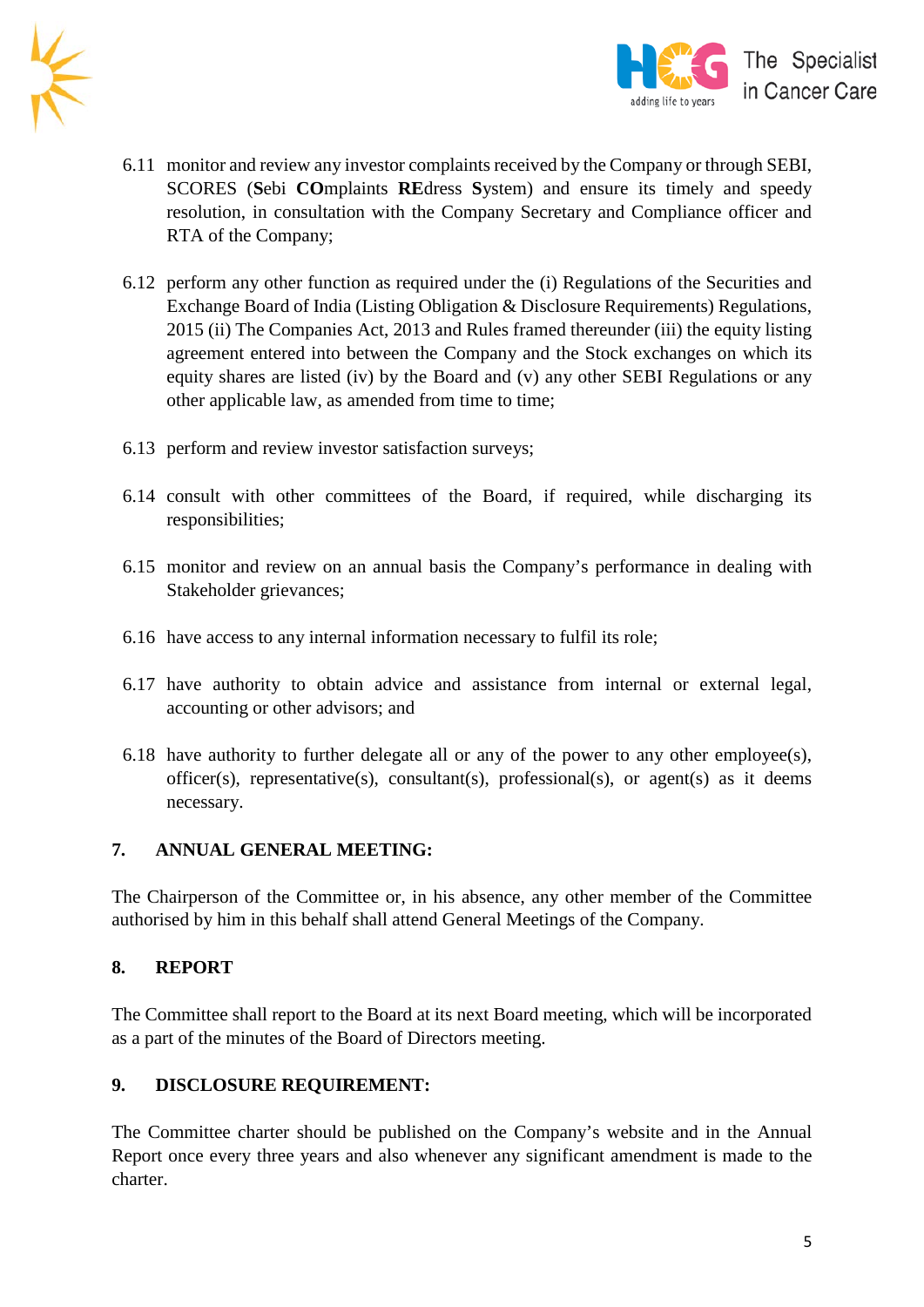



- 6.11 monitor and review any investor complaints received by the Company or through SEBI, SCORES (**S**ebi **CO**mplaints **RE**dress **S**ystem) and ensure its timely and speedy resolution, in consultation with the Company Secretary and Compliance officer and RTA of the Company;
- 6.12 perform any other function as required under the (i) Regulations of the Securities and Exchange Board of India (Listing Obligation & Disclosure Requirements) Regulations, 2015 (ii) The Companies Act, 2013 and Rules framed thereunder (iii) the equity listing agreement entered into between the Company and the Stock exchanges on which its equity shares are listed (iv) by the Board and (v) any other SEBI Regulations or any other applicable law, as amended from time to time;
- 6.13 perform and review investor satisfaction surveys;
- 6.14 consult with other committees of the Board, if required, while discharging its responsibilities;
- 6.15 monitor and review on an annual basis the Company's performance in dealing with Stakeholder grievances;
- 6.16 have access to any internal information necessary to fulfil its role;
- 6.17 have authority to obtain advice and assistance from internal or external legal, accounting or other advisors; and
- 6.18 have authority to further delegate all or any of the power to any other employee(s), officer(s), representative(s), consultant(s), professional(s), or agent(s) as it deems necessary.

#### **7. ANNUAL GENERAL MEETING:**

The Chairperson of the Committee or, in his absence, any other member of the Committee authorised by him in this behalf shall attend General Meetings of the Company.

#### **8. REPORT**

The Committee shall report to the Board at its next Board meeting, which will be incorporated as a part of the minutes of the Board of Directors meeting.

#### **9. DISCLOSURE REQUIREMENT:**

The Committee charter should be published on the Company's website and in the Annual Report once every three years and also whenever any significant amendment is made to the charter.